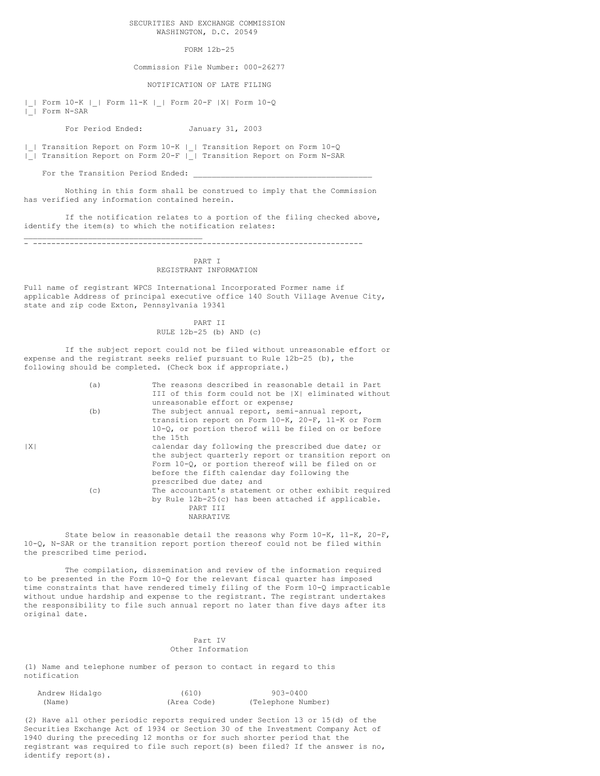## SECURITIES AND EXCHANGE COMMISSION WASHINGTON, D.C. 20549

## FORM 12b-25

Commission File Number: 000-26277

NOTIFICATION OF LATE FILING

|\_| Form 10-K |\_| Form 11-K |\_| Form 20-F |X| Form 10-Q |\_| Form N-SAR

For Period Ended: January 31, 2003

|\_| Transition Report on Form 10-K |\_| Transition Report on Form 10-Q |\_| Transition Report on Form 20-F |\_| Transition Report on Form N-SAR

For the Transition Period Ended:

Nothing in this form shall be construed to imply that the Commission has verified any information contained herein.

If the notification relates to a portion of the filing checked above, identify the item(s) to which the notification relates:

\_\_\_\_\_\_\_\_\_\_\_\_\_\_\_\_\_\_\_\_\_\_\_\_\_\_\_\_\_\_\_\_\_\_\_\_\_\_\_ - ------------------------------------------------------------------------

## PART I REGISTRANT INFORMATION

Full name of registrant WPCS International Incorporated Former name if applicable Address of principal executive office 140 South Village Avenue City, state and zip code Exton, Pennsylvania 19341

> PART II RULE 12b-25 (b) AND (c)

If the subject report could not be filed without unreasonable effort or expense and the registrant seeks relief pursuant to Rule 12b-25 (b), the following should be completed. (Check box if appropriate.)

|   | (a) | The reasons described in reasonable detail in Part   |
|---|-----|------------------------------------------------------|
| X |     | III of this form could not be  X  eliminated without |
|   |     | unreasonable effort or expense;                      |
|   | (b) | The subject annual report, semi-annual report,       |
|   |     | transition report on Form 10-K, 20-F, 11-K or Form   |
|   |     | 10-Q, or portion therof will be filed on or before   |
|   |     | the 15th                                             |
|   |     | calendar day following the prescribed due date; or   |
|   |     | the subject quarterly report or transition report on |
|   |     | Form 10-0, or portion thereof will be filed on or    |
|   |     | before the fifth calendar day following the          |
|   |     | prescribed due date; and                             |
|   | (c) | The accountant's statement or other exhibit required |
|   |     | by Rule $12b-25(c)$ has been attached if applicable. |
|   |     | PART TIT                                             |
|   |     | NARRATIVE                                            |

State below in reasonable detail the reasons why Form 10-K, 11-K, 20-F, 10-Q, N-SAR or the transition report portion thereof could not be filed within the prescribed time period.

The compilation, dissemination and review of the information required to be presented in the Form 10-Q for the relevant fiscal quarter has imposed time constraints that have rendered timely filing of the Form 10-Q impracticable without undue hardship and expense to the registrant. The registrant undertakes the responsibility to file such annual report no later than five days after its original date.

## Part IV Other Information

(1) Name and telephone number of person to contact in regard to this notification

| Andrew Hidalgo | (610)       | 903-0400           |
|----------------|-------------|--------------------|
| (Name)         | (Area Code) | (Telephone Number) |

(2) Have all other periodic reports required under Section 13 or 15(d) of the Securities Exchange Act of 1934 or Section 30 of the Investment Company Act of 1940 during the preceding 12 months or for such shorter period that the registrant was required to file such report(s) been filed? If the answer is no, identify report(s).